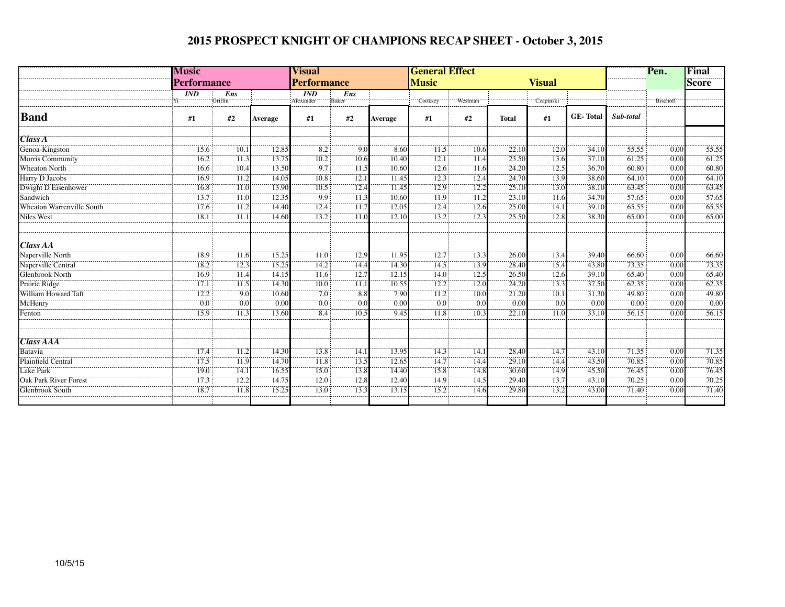## **2015 PROSPECT KNIGHT OF CHAMPIONS RECAP SHEET - October 3, 2015**

|                           | <b>Music</b><br><b>Performance</b> |                   |         | <b>Visual</b><br><b>Performance</b> |       |         | <b>General Effect</b>         |                   |              | Pen.              | Final           |           |                   |       |
|---------------------------|------------------------------------|-------------------|---------|-------------------------------------|-------|---------|-------------------------------|-------------------|--------------|-------------------|-----------------|-----------|-------------------|-------|
|                           |                                    |                   |         |                                     |       |         | <b>Music</b><br><b>Visual</b> |                   |              |                   |                 |           |                   | Score |
|                           | $\overline{IND}$                   | Ens               |         | $\overline{IND}$                    | Ens   |         |                               |                   |              |                   |                 |           |                   |       |
|                           |                                    | Griffin           |         | Alexander                           | Baker |         | Cooksey                       | Westman           |              | Czapinski         |                 |           | Bischoff          |       |
| <b>Band</b>               | #1                                 | #2                | Average | #1                                  | #2    | Average | #1                            | #2                | <b>Total</b> | #1                | <b>GE-Total</b> | Sub-total |                   |       |
| Class A                   |                                    |                   |         |                                     |       |         |                               |                   |              |                   |                 |           |                   |       |
| Genoa-Kingston            | 15.6                               | 10.1              | 12.85   | 8.2                                 | 9.0   | 8.60    | 11.5                          | 10.6              | 22.10        | 12.0              | 34.10           | 55.55     | 0.00              | 55.55 |
| Morris Community          | 16.2                               | $\overline{11.3}$ | 13.75   | 10.2                                | 10.6  | 10.40   | 12.1                          | $\overline{11.4}$ | 23.50        | 13.6              | 37.10           | 61.25     | 0.00              | 61.25 |
| <b>Wheaton North</b>      | 16.6                               | $\overline{10.4}$ | 13.50   | $-9.7$                              | 11.5  | 10.60   | 12.6                          | $\overline{11.6}$ | 24.20        | 12.5              | 36.70           | 60.80     | 0.00              | 60.80 |
| Harry D Jacobs            | 16.9                               | 11.2              | 14.05   | 10.8                                | 12.1  | 11.45   | 12.3                          | 12.4              | 24.70        | 13.9              | 38.60           | 64.10     | 0.00              | 64.10 |
| Dwight D Eisenhower       | 16.8                               | 11.0              | 13.90   | 10.5                                | 12.4  | 11.45   | 12.9                          | 12.2              | 25.10        | 13.0              | 38.10           | 63.45     | 0.00              | 63.45 |
| Sandwich                  | 13.7                               | $\overline{11}$ . | 12.35   | 9.9                                 | 11.3  | 10.60   | 11.9                          | 11.2              | 23.10        | 11.6              | 34.70           | 57.65     | $\overline{0.00}$ | 57.65 |
| Wheaton Warrenville South | 17.6                               | $\overline{11.2}$ | 14.40   | 12.4                                | 11.7  | 12.05   | 12.4                          | 12.6              | 25.00        | 14.1              | 39.10           | 65.55     | 0.00              | 65.55 |
| <b>Niles West</b>         | 18.1                               | 11.1              | 14.60   | 13.2                                | 11.0  | 12.10   | 13.2                          | 12.3              | 25.50        | 12.8              | 38.30           | 65.00     | 0.00              | 65.00 |
| Class AA                  |                                    |                   |         |                                     |       |         |                               |                   |              |                   |                 |           |                   |       |
| Naperville North          | 18.9                               | 11.6              | 15.25   | 11.0                                | 12.9  | 11.95   | 12.7                          | 13.3              | 26.00        | 13.4              | 39.40           | 66.60     | 0.00              | 66.60 |
| Naperville Central        | 18.2                               | 12.3              | 15.25   | 14.2                                | 14.4  | 14.30   | 14.5                          | 13.9              | 28.40        | 15.4              | 43.80           | 73.35     | 0.00              | 73.35 |
| Glenbrook North           | 16.9                               | 11.4              | 14.15   | 11.6                                | 12.7  | 12.15   | 14.0                          | 12.5              | 26.50        | 12.6              | 39.10           | 65.40     | 0.00              | 65.40 |
| Prairie Ridge             | 17.1                               | 11.5              | 14.30   | 10.0                                | 11.1  | 10.55   | 12.2                          | 12.0              | 24.20        | 13.3              | 37.50           | 62.35     | 0.00              | 62.35 |
| William Howard Taft       | 12.2                               | $\overline{90}$   | 10.60   | $70^{\circ}$                        | 8.8   | 7.90    | $\overline{11.2}$             | 10.0              | 21.20        | $\overline{10.1}$ | 31.30           | 49.80     | 0.00              | 49.80 |
| McHenry                   | 0.0                                | 0.0               | 0.00    | 0.0                                 | 0.0   | 0.00    | $\overline{0.0}$              | 0.0               | 0.00         | 0.0               | 0.00            | 0.00      | 0.00              | 0.00  |
| Fenton                    | 15.9                               | 11.3              | 13.60   | 8.4                                 | 10.5  | 9.45    | 11.8                          | 10.3              | 22.10        | 11.0              | 33.10           | 56.15     | 0.00              | 56.15 |
| <b>Class AAA</b>          |                                    |                   |         |                                     |       |         |                               |                   |              |                   |                 |           |                   |       |
| Batavia                   | 17.4                               | 11.2              | 14.30   | 13.8                                | 14.1  | 13.95   | 14.3                          | 14.1              | 28.40        | 14.7              | 43.10           | 71.35     | 0.00              | 71.35 |
| Plainfield Central        | 17.5                               | 11.9              | 14.70   | 11.8                                | 13.5  | 12.65   | 14.7                          | 14.4              | 29.10        | 14.4              | 43.50           | 70.85     | 0.00              | 70.85 |
| Lake Park                 | 19.0                               | $\overline{14.1}$ | 16.55   | 15.0                                | 13.8  | 14.40   | 15.8                          | 14.8              | 30.60        | 14.9              | 45.50           | 76.45     | 0.00              | 76.45 |
| Oak Park River Forest     | 17.3                               | 12.2              | 14.75   | 12.0                                | 12.8  | 12.40   | 14.9                          | 14.5              | 29.40        | 13.7              | 43.10           | 70.25     | 0.00              | 70.25 |
| <b>Glenbrook South</b>    | 18.7                               | 11.8              | 15.25   | 13.0                                | 13.3  | 13.15   | 15.2                          | 14.6              | 29.80        | 13.2              | 43.00           | 71.40     | 0.00              | 71.40 |
|                           |                                    |                   |         |                                     |       |         |                               |                   |              |                   |                 |           |                   |       |